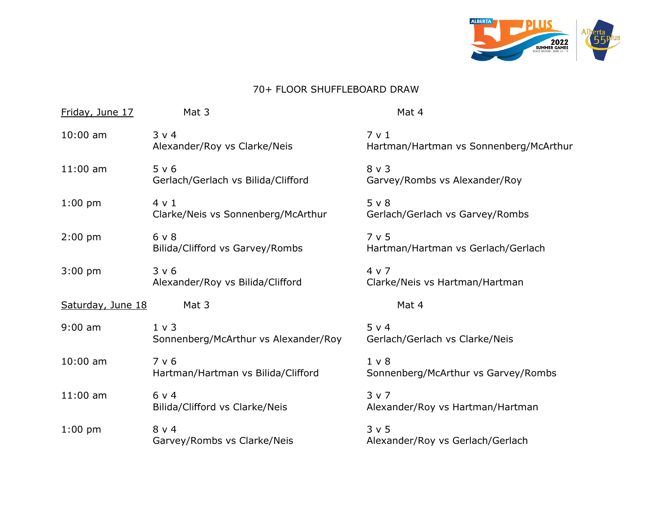

## 70+ FLOOR SHUFFLEBOARD DRAW

| Friday, June 17   | Mat 3                                              | Mat 4                                                 |
|-------------------|----------------------------------------------------|-------------------------------------------------------|
| $10:00$ am        | 3 v 4<br>Alexander/Roy vs Clarke/Neis              | 7 v 1<br>Hartman/Hartman vs Sonnenberg/McArthur       |
| $11:00$ am        | 5 v 6<br>Gerlach/Gerlach vs Bilida/Clifford        | $8 \vee 3$<br>Garvey/Rombs vs Alexander/Roy           |
| $1:00$ pm         | $4 \vee 1$<br>Clarke/Neis vs Sonnenberg/McArthur   | 5 v 8<br>Gerlach/Gerlach vs Garvey/Rombs              |
| $2:00$ pm         | 6 v 8<br>Bilida/Clifford vs Garvey/Rombs           | 7 v 5<br>Hartman/Hartman vs Gerlach/Gerlach           |
| $3:00$ pm         | 3 v 6<br>Alexander/Roy vs Bilida/Clifford          | 4 v 7<br>Clarke/Neis vs Hartman/Hartman               |
| Saturday, June 18 | Mat 3                                              | Mat 4                                                 |
| $9:00$ am         | $1 \vee 3$<br>Sonnenberg/McArthur vs Alexander/Roy | 5 v 4<br>Gerlach/Gerlach vs Clarke/Neis               |
| $10:00$ am        | 7 v 6<br>Hartman/Hartman vs Bilida/Clifford        | 1 <sub>v</sub><br>Sonnenberg/McArthur vs Garvey/Rombs |
| $11:00$ am        | $6 \vee 4$<br>Bilida/Clifford vs Clarke/Neis       | 3 v 7<br>Alexander/Roy vs Hartman/Hartman             |
| $1:00$ pm         | $8 \vee 4$<br>Garvey/Rombs vs Clarke/Neis          | 3 v 5<br>Alexander/Roy vs Gerlach/Gerlach             |